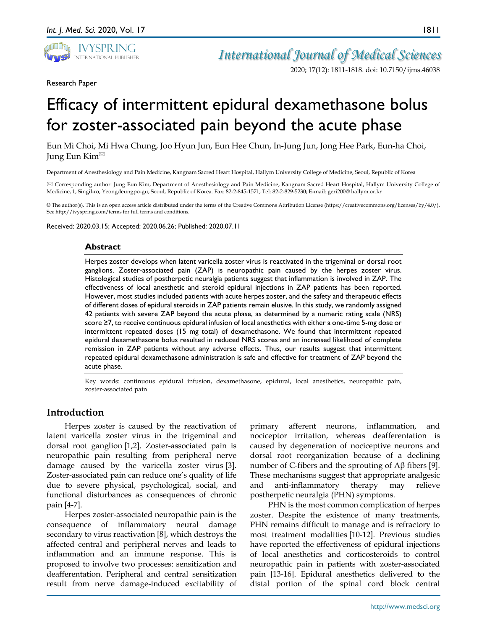

*International Journal of Medical Sciences*

2020; 17(12): 1811-1818. doi: 10.7150/ijms.46038

Research Paper

# Efficacy of intermittent epidural dexamethasone bolus for zoster-associated pain beyond the acute phase

Eun Mi Choi, Mi Hwa Chung, Joo Hyun Jun, Eun Hee Chun, In-Jung Jun, Jong Hee Park, Eun-ha Choi, Jung Eun Kim

Department of Anesthesiology and Pain Medicine, Kangnam Sacred Heart Hospital, Hallym University College of Medicine, Seoul, Republic of Korea

 Corresponding author: Jung Eun Kim, Department of Anesthesiology and Pain Medicine, Kangnam Sacred Heart Hospital, Hallym University College of Medicine, 1, Singil-ro, Yeongdeungpo-gu, Seoul, Republic of Korea. Fax: 82-2-845-1571; Tel: 82-2-829-5230; E-mail: geri200@ hallym.or.kr

© The author(s). This is an open access article distributed under the terms of the Creative Commons Attribution License (https://creativecommons.org/licenses/by/4.0/). See http://ivyspring.com/terms for full terms and conditions.

Received: 2020.03.15; Accepted: 2020.06.26; Published: 2020.07.11

## **Abstract**

Herpes zoster develops when latent varicella zoster virus is reactivated in the trigeminal or dorsal root ganglions. Zoster-associated pain (ZAP) is neuropathic pain caused by the herpes zoster virus. Histological studies of postherpetic neuralgia patients suggest that inflammation is involved in ZAP. The effectiveness of local anesthetic and steroid epidural injections in ZAP patients has been reported. However, most studies included patients with acute herpes zoster, and the safety and therapeutic effects of different doses of epidural steroids in ZAP patients remain elusive. In this study, we randomly assigned 42 patients with severe ZAP beyond the acute phase, as determined by a numeric rating scale (NRS) score ≥7, to receive continuous epidural infusion of local anesthetics with either a one-time 5-mg dose or intermittent repeated doses (15 mg total) of dexamethasone. We found that intermittent repeated epidural dexamethasone bolus resulted in reduced NRS scores and an increased likelihood of complete remission in ZAP patients without any adverse effects. Thus, our results suggest that intermittent repeated epidural dexamethasone administration is safe and effective for treatment of ZAP beyond the acute phase.

Key words: continuous epidural infusion, dexamethasone, epidural, local anesthetics, neuropathic pain, zoster-associated pain

# **Introduction**

Herpes zoster is caused by the reactivation of latent varicella zoster virus in the trigeminal and dorsal root ganglion [1,2]. Zoster-associated pain is neuropathic pain resulting from peripheral nerve damage caused by the varicella zoster virus [3]. Zoster-associated pain can reduce one's quality of life due to severe physical, psychological, social, and functional disturbances as consequences of chronic pain [4-7].

Herpes zoster-associated neuropathic pain is the consequence of inflammatory neural damage secondary to virus reactivation [8], which destroys the affected central and peripheral nerves and leads to inflammation and an immune response. This is proposed to involve two processes: sensitization and deafferentation. Peripheral and central sensitization result from nerve damage-induced excitability of

primary afferent neurons, inflammation, and nociceptor irritation, whereas deafferentation is caused by degeneration of nociceptive neurons and dorsal root reorganization because of a declining number of C-fibers and the sprouting of  $Aβ$  fibers [9]. These mechanisms suggest that appropriate analgesic and anti-inflammatory therapy may relieve postherpetic neuralgia (PHN) symptoms.

PHN is the most common complication of herpes zoster. Despite the existence of many treatments, PHN remains difficult to manage and is refractory to most treatment modalities [10-12]. Previous studies have reported the effectiveness of epidural injections of local anesthetics and corticosteroids to control neuropathic pain in patients with zoster-associated pain [13-16]. Epidural anesthetics delivered to the distal portion of the spinal cord block central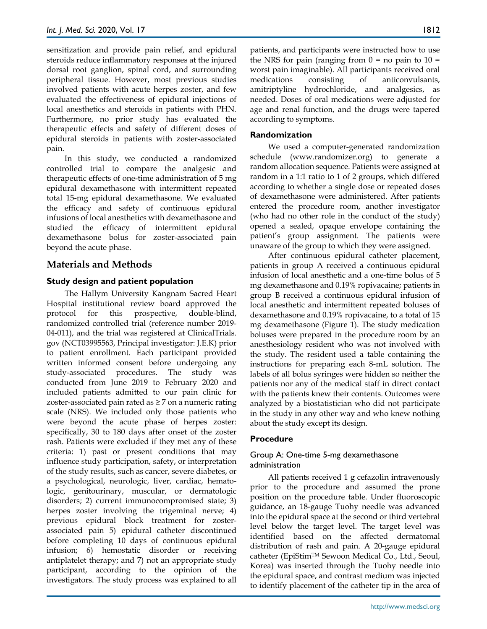sensitization and provide pain relief, and epidural steroids reduce inflammatory responses at the injured dorsal root ganglion, spinal cord, and surrounding peripheral tissue. However, most previous studies involved patients with acute herpes zoster, and few evaluated the effectiveness of epidural injections of local anesthetics and steroids in patients with PHN. Furthermore, no prior study has evaluated the therapeutic effects and safety of different doses of epidural steroids in patients with zoster-associated pain.

In this study, we conducted a randomized controlled trial to compare the analgesic and therapeutic effects of one-time administration of 5 mg epidural dexamethasone with intermittent repeated total 15-mg epidural dexamethasone. We evaluated the efficacy and safety of continuous epidural infusions of local anesthetics with dexamethasone and studied the efficacy of intermittent epidural dexamethasone bolus for zoster-associated pain beyond the acute phase.

# **Materials and Methods**

# **Study design and patient population**

The Hallym University Kangnam Sacred Heart Hospital institutional review board approved the protocol for this prospective, double-blind, randomized controlled trial (reference number 2019- 04-011), and the trial was registered at ClinicalTrials. gov (NCT03995563, Principal investigator: J.E.K) prior to patient enrollment. Each participant provided written informed consent before undergoing any study-associated procedures. The study was conducted from June 2019 to February 2020 and included patients admitted to our pain clinic for zoster-associated pain rated as ≥ 7 on a numeric rating scale (NRS). We included only those patients who were beyond the acute phase of herpes zoster: specifically, 30 to 180 days after onset of the zoster rash. Patients were excluded if they met any of these criteria: 1) past or present conditions that may influence study participation, safety, or interpretation of the study results, such as cancer, severe diabetes, or a psychological, neurologic, liver, cardiac, hematologic, genitourinary, muscular, or dermatologic disorders; 2) current immunocompromised state; 3) herpes zoster involving the trigeminal nerve; 4) previous epidural block treatment for zosterassociated pain 5) epidural catheter discontinued before completing 10 days of continuous epidural infusion; 6) hemostatic disorder or receiving antiplatelet therapy; and 7) not an appropriate study participant, according to the opinion of the investigators. The study process was explained to all

patients, and participants were instructed how to use the NRS for pain (ranging from  $0 =$  no pain to  $10 =$ worst pain imaginable). All participants received oral medications consisting of anticonvulsants, amitriptyline hydrochloride, and analgesics, as needed. Doses of oral medications were adjusted for age and renal function, and the drugs were tapered according to symptoms.

# **Randomization**

We used a computer-generated randomization schedule (www.randomizer.org) to generate a random allocation sequence. Patients were assigned at random in a 1:1 ratio to 1 of 2 groups, which differed according to whether a single dose or repeated doses of dexamethasone were administered. After patients entered the procedure room, another investigator (who had no other role in the conduct of the study) opened a sealed, opaque envelope containing the patient's group assignment. The patients were unaware of the group to which they were assigned.

After continuous epidural catheter placement, patients in group A received a continuous epidural infusion of local anesthetic and a one-time bolus of 5 mg dexamethasone and 0.19% ropivacaine; patients in group B received a continuous epidural infusion of local anesthetic and intermittent repeated boluses of dexamethasone and 0.19% ropivacaine, to a total of 15 mg dexamethasone (Figure 1). The study medication boluses were prepared in the procedure room by an anesthesiology resident who was not involved with the study. The resident used a table containing the instructions for preparing each 8-mL solution. The labels of all bolus syringes were hidden so neither the patients nor any of the medical staff in direct contact with the patients knew their contents. Outcomes were analyzed by a biostatistician who did not participate in the study in any other way and who knew nothing about the study except its design.

# **Procedure**

# Group A: One-time 5-mg dexamethasone administration

All patients received 1 g cefazolin intravenously prior to the procedure and assumed the prone position on the procedure table. Under fluoroscopic guidance, an 18-gauge Tuohy needle was advanced into the epidural space at the second or third vertebral level below the target level. The target level was identified based on the affected dermatomal distribution of rash and pain. A 20-gauge epidural catheter (EpiStimTM Sewoon Medical Co., Ltd., Seoul, Korea) was inserted through the Tuohy needle into the epidural space, and contrast medium was injected to identify placement of the catheter tip in the area of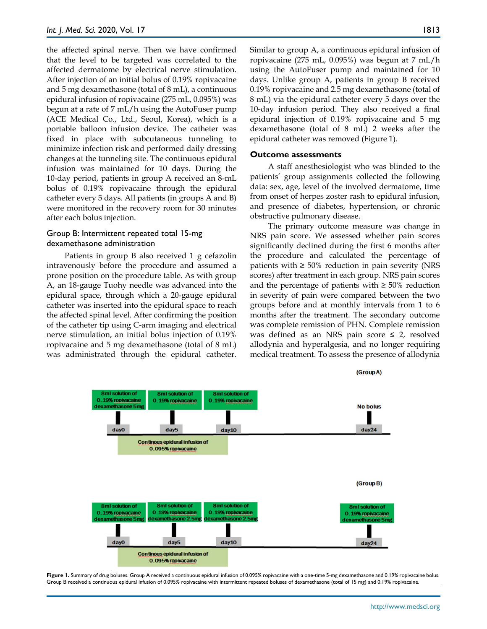the affected spinal nerve. Then we have confirmed that the level to be targeted was correlated to the affected dermatome by electrical nerve stimulation. After injection of an initial bolus of 0.19% ropivacaine and 5 mg dexamethasone (total of 8 mL), a continuous epidural infusion of ropivacaine (275 mL, 0.095%) was begun at a rate of 7 mL/h using the AutoFuser pump (ACE Medical Co., Ltd., Seoul, Korea), which is a portable balloon infusion device. The catheter was fixed in place with subcutaneous tunneling to minimize infection risk and performed daily dressing changes at the tunneling site. The continuous epidural infusion was maintained for 10 days. During the 10-day period, patients in group A received an 8-mL bolus of 0.19% ropivacaine through the epidural catheter every 5 days. All patients (in groups A and B) were monitored in the recovery room for 30 minutes after each bolus injection.

## Group B: Intermittent repeated total 15-mg dexamethasone administration

Patients in group B also received 1 g cefazolin intravenously before the procedure and assumed a prone position on the procedure table. As with group A, an 18-gauge Tuohy needle was advanced into the epidural space, through which a 20-gauge epidural catheter was inserted into the epidural space to reach the affected spinal level. After confirming the position of the catheter tip using C-arm imaging and electrical nerve stimulation, an initial bolus injection of 0.19% ropivacaine and 5 mg dexamethasone (total of 8 mL) was administrated through the epidural catheter.

Similar to group A, a continuous epidural infusion of ropivacaine (275 mL, 0.095%) was begun at 7 mL/h using the AutoFuser pump and maintained for 10 days. Unlike group A, patients in group B received 0.19% ropivacaine and 2.5 mg dexamethasone (total of 8 mL) via the epidural catheter every 5 days over the 10-day infusion period. They also received a final epidural injection of 0.19% ropivacaine and 5 mg dexamethasone (total of 8 mL) 2 weeks after the epidural catheter was removed (Figure 1).

#### **Outcome assessments**

A staff anesthesiologist who was blinded to the patients' group assignments collected the following data: sex, age, level of the involved dermatome, time from onset of herpes zoster rash to epidural infusion, and presence of diabetes, hypertension, or chronic obstructive pulmonary disease.

The primary outcome measure was change in NRS pain score. We assessed whether pain scores significantly declined during the first 6 months after the procedure and calculated the percentage of patients with  $≥ 50\%$  reduction in pain severity (NRS scores) after treatment in each group. NRS pain scores and the percentage of patients with  $\geq 50\%$  reduction in severity of pain were compared between the two groups before and at monthly intervals from 1 to 6 months after the treatment. The secondary outcome was complete remission of PHN. Complete remission was defined as an NRS pain score  $\leq$  2, resolved allodynia and hyperalgesia, and no longer requiring medical treatment. To assess the presence of allodynia



**Figure 1.** Summary of drug boluses. Group A received a continuous epidural infusion of 0.095% ropivacaine with a one-time 5-mg dexamethasone and 0.19% ropivacaine bolus. Group B received a continuous epidural infusion of 0.095% ropivacaine with intermittent repeated boluses of dexamethasone (total of 15 mg) and 0.19% ropivacaine.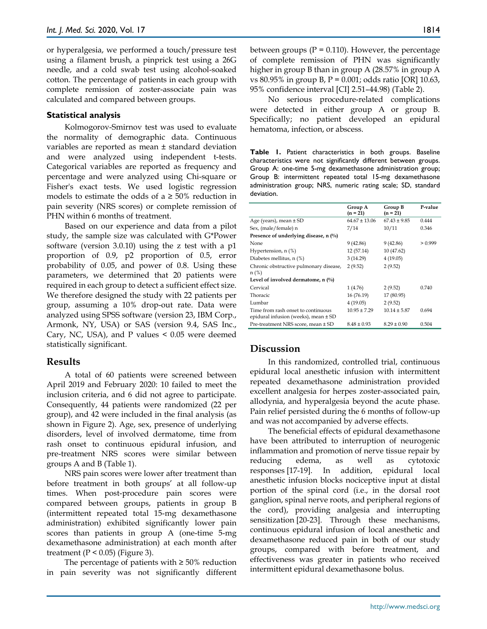or hyperalgesia, we performed a touch/pressure test using a filament brush, a pinprick test using a 26G needle, and a cold swab test using alcohol-soaked cotton. The percentage of patients in each group with complete remission of zoster-associate pain was calculated and compared between groups.

## **Statistical analysis**

Kolmogorov-Smirnov test was used to evaluate the normality of demographic data. Continuous variables are reported as mean ± standard deviation and were analyzed using independent t-tests. Categorical variables are reported as frequency and percentage and were analyzed using Chi-square or Fisher's exact tests. We used logistic regression models to estimate the odds of a  $\geq$  50% reduction in pain severity (NRS scores) or complete remission of PHN within 6 months of treatment.

Based on our experience and data from a pilot study, the sample size was calculated with G\*Power software (version 3.0.10) using the z test with a p1 proportion of 0.9, p2 proportion of 0.5, error probability of 0.05, and power of 0.8. Using these parameters, we determined that 20 patients were required in each group to detect a sufficient effect size. We therefore designed the study with 22 patients per group, assuming a 10% drop-out rate. Data were analyzed using SPSS software (version 23, IBM Corp., Armonk, NY, USA) or SAS (version 9.4, SAS Inc., Cary, NC, USA), and P values < 0.05 were deemed statistically significant.

## **Results**

A total of 60 patients were screened between April 2019 and February 2020: 10 failed to meet the inclusion criteria, and 6 did not agree to participate. Consequently, 44 patients were randomized (22 per group), and 42 were included in the final analysis (as shown in Figure 2). Age, sex, presence of underlying disorders, level of involved dermatome, time from rash onset to continuous epidural infusion, and pre-treatment NRS scores were similar between groups A and B (Table 1).

NRS pain scores were lower after treatment than before treatment in both groups' at all follow-up times. When post-procedure pain scores were compared between groups, patients in group B (intermittent repeated total 15-mg dexamethasone administration) exhibited significantly lower pain scores than patients in group A (one-time 5-mg dexamethasone administration) at each month after treatment ( $P < 0.05$ ) (Figure 3).

The percentage of patients with  $\geq 50\%$  reduction in pain severity was not significantly different

between groups ( $P = 0.110$ ). However, the percentage of complete remission of PHN was significantly higher in group B than in group A (28.57% in group A vs  $80.95\%$  in group B, P = 0.001; odds ratio [OR] 10.63, 95% confidence interval [CI] 2.51–44.98) (Table 2).

No serious procedure-related complications were detected in either group A or group B. Specifically; no patient developed an epidural hematoma, infection, or abscess.

**Table 1.** Patient characteristics in both groups. Baseline characteristics were not significantly different between groups. Group A: one-time 5-mg dexamethasone administration group; Group B: intermittent repeated total 15-mg dexamethasone administration group; NRS, numeric rating scale; SD, standard deviation.

|                                                                                | Group A<br>$(n = 21)$ | Group B<br>$(n = 21)$ | P-value |
|--------------------------------------------------------------------------------|-----------------------|-----------------------|---------|
| Age (years), mean $\pm$ SD                                                     | $64.67 \pm 13.06$     | $67.43 \pm 9.85$      | 0.444   |
| Sex, (male/female) n                                                           | 7/14                  | 10/11                 | 0.346   |
| Presence of underlying disease, $n \binom{0}{0}$                               |                       |                       |         |
| None                                                                           | 9(42.86)              | 9(42.86)              | > 0.999 |
| Hypertension, $n$ $(\%)$                                                       | 12 (57.14)            | 10 (47.62)            |         |
| Diabetes mellitus, n (%)                                                       | 3(14.29)              | 4(19.05)              |         |
| Chronic obstructive pulmonary disease,<br>$n$ (%)                              | 2(9.52)               | 2(9.52)               |         |
| Level of involved dermatome, n $(\%)$                                          |                       |                       |         |
| Cervical                                                                       | 1(4.76)               | 2(9.52)               | 0.740   |
| Thoracic                                                                       | 16 (76.19)            | 17 (80.95)            |         |
| Lumbar                                                                         | 4(19.05)              | 2(9.52)               |         |
| Time from rash onset to continuous<br>epidural infusion (weeks), mean $\pm$ SD | $10.95 + 7.29$        | $10.14 + 5.87$        | 0.694   |
| Pre-treatment NRS score, mean ± SD                                             | $8.48 \pm 0.93$       | $8.29 \pm 0.90$       | 0.504   |

# **Discussion**

In this randomized, controlled trial, continuous epidural local anesthetic infusion with intermittent repeated dexamethasone administration provided excellent analgesia for herpes zoster-associated pain, allodynia, and hyperalgesia beyond the acute phase. Pain relief persisted during the 6 months of follow-up and was not accompanied by adverse effects.

The beneficial effects of epidural dexamethasone have been attributed to interruption of neurogenic inflammation and promotion of nerve tissue repair by reducing edema, as well as cytotoxic responses [17-19]. In addition, epidural local anesthetic infusion blocks nociceptive input at distal portion of the spinal cord (i.e., in the dorsal root ganglion, spinal nerve roots, and peripheral regions of the cord), providing analgesia and interrupting sensitization [20-23]. Through these mechanisms, continuous epidural infusion of local anesthetic and dexamethasone reduced pain in both of our study groups, compared with before treatment, and effectiveness was greater in patients who received intermittent epidural dexamethasone bolus.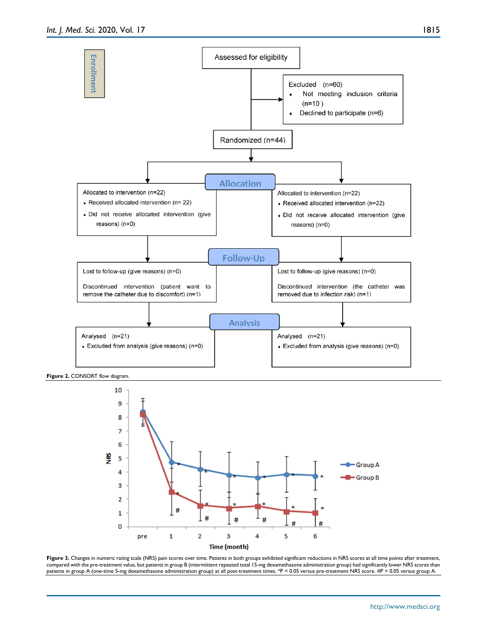

Figure 2. CONSORT flow diagram.



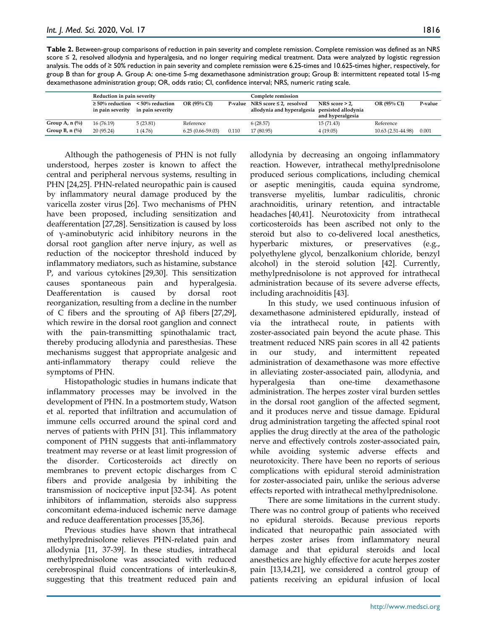**Table 2.** Between-group comparisons of reduction in pain severity and complete remission. Complete remission was defined as an NRS score ≤ 2, resolved allodynia and hyperalgesia, and no longer requiring medical treatment. Data were analyzed by logistic regression analysis. The odds of ≥ 50% reduction in pain severity and complete remission were 6.25-times and 10.625-times higher, respectively, for group B than for group A. Group A: one-time 5-mg dexamethasone administration group; Group B: intermittent repeated total 15-mg dexamethasone administration group; OR, odds ratio; CI, confidence interval; NRS, numeric rating scale.

|                           | Reduction in pain severity                |                                       |                    |         | Complete remission                                                             |                                       |                    |         |
|---------------------------|-------------------------------------------|---------------------------------------|--------------------|---------|--------------------------------------------------------------------------------|---------------------------------------|--------------------|---------|
|                           | $\geq 50\%$ reduction<br>in pain severity | $<$ 50% reduction<br>in pain severity | OR (95% CI)        | P-value | NRS score $\leq$ 2, resolved<br>allodynia and hyperalgesia persisted allodynia | NRS score $> 2$ ,<br>and hyperalgesia | OR (95% CI)        | P-value |
| Group A, $n \binom{0}{0}$ | 16(76.19)                                 | 5(23.81)                              | Reference          |         | 6(28.57)                                                                       | 15 (71.43)                            | Reference          |         |
| Group B, n $(\%)$         | 20(95.24)                                 | 1(4.76)                               | $6.25(0.66-59.03)$ | 0.110   | 17 (80.95)                                                                     | 4(19.05)                              | 10.63 (2.51-44.98) | 0.001   |

Although the pathogenesis of PHN is not fully understood, herpes zoster is known to affect the central and peripheral nervous systems, resulting in PHN [24,25]. PHN-related neuropathic pain is caused by inflammatory neural damage produced by the varicella zoster virus [26]. Two mechanisms of PHN have been proposed, including sensitization and deafferentation [27,28]. Sensitization is caused by loss of γ-aminobutyric acid inhibitory neurons in the dorsal root ganglion after nerve injury, as well as reduction of the nociceptor threshold induced by inflammatory mediators, such as histamine, substance P, and various cytokines [29,30]. This sensitization causes spontaneous pain and hyperalgesia. Deafferentation is caused by dorsal root reorganization, resulting from a decline in the number of C fibers and the sprouting of  $\widehat{AB}$  fibers [27,29], which rewire in the dorsal root ganglion and connect with the pain-transmitting spinothalamic tract, thereby producing allodynia and paresthesias. These mechanisms suggest that appropriate analgesic and anti-inflammatory therapy could relieve the symptoms of PHN.

Histopathologic studies in humans indicate that inflammatory processes may be involved in the development of PHN. In a postmortem study, Watson et al. reported that infiltration and accumulation of immune cells occurred around the spinal cord and nerves of patients with PHN [31]. This inflammatory component of PHN suggests that anti-inflammatory treatment may reverse or at least limit progression of the disorder. Corticosteroids act directly on membranes to prevent ectopic discharges from C fibers and provide analgesia by inhibiting the transmission of nociceptive input [32-34]. As potent inhibitors of inflammation, steroids also suppress concomitant edema-induced ischemic nerve damage and reduce deafferentation processes [35,36].

Previous studies have shown that intrathecal methylprednisolone relieves PHN-related pain and allodynia [11, 37-39]. In these studies, intrathecal methylprednisolone was associated with reduced cerebrospinal fluid concentrations of interleukin-8, suggesting that this treatment reduced pain and allodynia by decreasing an ongoing inflammatory reaction. However, intrathecal methylprednisolone produced serious complications, including chemical or aseptic meningitis, cauda equina syndrome, transverse myelitis, lumbar radiculitis, chronic arachnoiditis, urinary retention, and intractable headaches [40,41]. Neurotoxicity from intrathecal corticosteroids has been ascribed not only to the steroid but also to co-delivered local anesthetics, hyperbaric mixtures, or preservatives (e.g., polyethylene glycol, benzalkonium chloride, benzyl alcohol) in the steroid solution [42]. Currently, methylprednisolone is not approved for intrathecal administration because of its severe adverse effects, including arachnoiditis [43].

In this study, we used continuous infusion of dexamethasone administered epidurally, instead of via the intrathecal route, in patients with zoster-associated pain beyond the acute phase. This treatment reduced NRS pain scores in all 42 patients in our study, and intermittent repeated administration of dexamethasone was more effective in alleviating zoster-associated pain, allodynia, and hyperalgesia than one-time dexamethasone administration. The herpes zoster viral burden settles in the dorsal root ganglion of the affected segment, and it produces nerve and tissue damage. Epidural drug administration targeting the affected spinal root applies the drug directly at the area of the pathologic nerve and effectively controls zoster-associated pain, while avoiding systemic adverse effects and neurotoxicity. There have been no reports of serious complications with epidural steroid administration for zoster-associated pain, unlike the serious adverse effects reported with intrathecal methylprednisolone.

There are some limitations in the current study. There was no control group of patients who received no epidural steroids. Because previous reports indicated that neuropathic pain associated with herpes zoster arises from inflammatory neural damage and that epidural steroids and local anesthetics are highly effective for acute herpes zoster pain [13,14,21], we considered a control group of patients receiving an epidural infusion of local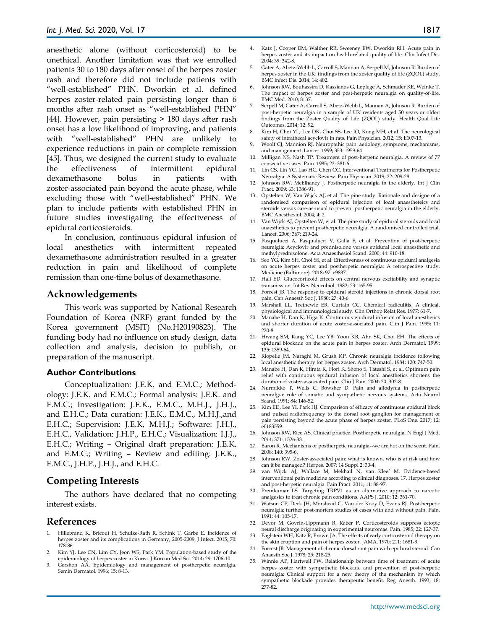anesthetic alone (without corticosteroid) to be unethical. Another limitation was that we enrolled patients 30 to 180 days after onset of the herpes zoster rash and therefore did not include patients with "well-established" PHN. Dworkin et al. defined herpes zoster-related pain persisting longer than 6 months after rash onset as "well-established PHN" [44]. However, pain persisting > 180 days after rash onset has a low likelihood of improving, and patients with "well-established" PHN are unlikely to experience reductions in pain or complete remission [45]. Thus, we designed the current study to evaluate the effectiveness of intermittent epidural dexamethasone bolus in patients with zoster-associated pain beyond the acute phase, while excluding those with "well-established" PHN. We plan to include patients with established PHN in future studies investigating the effectiveness of epidural corticosteroids.

In conclusion, continuous epidural infusion of local anesthetics with intermittent repeated dexamethasone administration resulted in a greater reduction in pain and likelihood of complete remission than one-time bolus of dexamethasone.

## **Acknowledgements**

This work was supported by National Research Foundation of Korea (NRF) grant funded by the Korea government (MSIT) (No.H20190823). The funding body had no influence on study design, data collection and analysis, decision to publish, or preparation of the manuscript.

#### **Author Contributions**

Conceptualization: J.E.K. and E.M.C.; Methodology: J.E.K. and E.M.C.; Formal analysis: J.E.K. and E.M.C.; Investigation: J.E.K., E.M.C., M.H.J., J.H.J., and E.H.C.; Data curation: J.E.K., E.M.C., M.H.J.,and E.H.C.; Supervision: J.E.K, M.H.J.; Software: J.H.J., E.H.C., Validation: J.H.P., E.H.C.; Visualization: I.J.J., E.H.C.; Writing – Original draft preparation: J.E.K. and E.M.C.; Writing – Review and editing: J.E.K., E.M.C., J.H.P., J.H.J., and E.H.C.

## **Competing Interests**

The authors have declared that no competing interest exists.

### **References**

- 1. Hillebrand K, Bricout H, Schulze-Rath R, Schink T, Garbe E. Incidence of herpes zoster and its complications in Germany, 2005-2009. J Infect. 2015; 70: 178-86.
- 2. Kim YJ, Lee CN, Lim CY, Jeon WS, Park YM. Population-based study of the epidemiology of herpes zoster in Korea. J Korean Med Sci. 2014; 29: 1706-10.
- 3. Gershon AA. Epidemiology and management of postherpetic neuralgia. Semin Dermatol. 1996; 15: 8-13.
- 4. Katz J, Cooper EM, Walther RR, Sweeney EW, Dworkin RH. Acute pain in herpes zoster and its impact on health-related quality of life. Clin Infect Dis. 2004; 39: 342-8.
- 5. Gater A, Abetz-Webb L, Carroll S, Mannan A, Serpell M, Johnson R. Burden of herpes zoster in the UK: findings from the zoster quality of life (ZQOL) study. BMC Infect Dis. 2014; 14: 402.
- 6. Johnson RW, Bouhassira D, Kassianos G, Leplege A, Schmader KE, Weinke T. The impact of herpes zoster and post-herpetic neuralgia on quality-of-life. BMC Med. 2010; 8: 37.
- 7. Serpell M, Gater A, Carroll S, Abetz-Webb L, Mannan A, Johnson R. Burden of post-herpetic neuralgia in a sample of UK residents aged 50 years or older: findings from the Zoster Quality of Life (ZQOL) study. Health Qual Life Outcomes. 2014; 12: 92.
- 8. Kim H, Choi YL, Lee DK, Choi SS, Lee IO, Kong MH, et al. The neurological safety of intrathecal acyclovir in rats. Pain Physician. 2012; 15: E107-13.
- 9. Woolf CJ, Mannion RJ. Neuropathic pain: aetiology, symptoms, mechanisms, and management. Lancet. 1999; 353: 1959-64.
- 10. Milligan NS, Nash TP. Treatment of post-herpetic neuralgia. A review of 77 consecutive cases. Pain. 1985; 23: 381-6.
- 11. Lin CS, Lin YC, Lao HC, Chen CC. Interventional Treatments for Postherpetic Neuralgia: A Systematic Review. Pain Physician. 2019; 22: 209-28.
- 12. Johnson RW, McElhaney J. Postherpetic neuralgia in the elderly. Int J Clin Pract. 2009; 63: 1386-91.
- 13. Opstelten W, Van Wijck AJ, et al. The pine study: Rationale and designe of a randomised comparison of epidural injection of local anaestheteics and steroids versus care-as-usual to prevent postherpetic neuralgia in the elderly. BMC Anesthesiol. 2004; 4: 2.
- 14. Van Wijck AJ, Opstelten W, et al. The pine study of epidural steroids and local anaesthetics to prevent postherpetic neuralgia: A randomised controlled trial. Lancet. 2006; 367: 219-24.
- 15. Pasqualucci A, Pasqualucci V, Galla F, et al. Prevention of post-herpetic neuralgia: Acyclovir and prednisolone versus epidural local anaesthetic and methylprednisolone. Acta Anaesthesiol Scand. 2000; 44: 910-18.
- 16. Seo YG, Kim SH, Choi SS, et al. Effectiveness of continuous epidural analgesia on acute herpes zoster and postherpetic neuralgia: A retrospective study. Medicine (Baltimore). 2018; 97: e9837.
- 17. Hall ED. Glucocorticoid effects on central nervous excitability and synaptic transmission. Int Rev Neurobiol. 1982; 23: 165-95.
- 18. Forrest JB. The response to epidural steroid injections in chronic dorsal root pain. Can Anaesth Soc J. 1980; 27: 40-6.
- 19. Marshall LL, Trethewie ER, Curtain CC. Chemical radiculitis. A clinical, physiological and immunological study. Clin Orthop Relat Res. 1977: 61-7.
- 20. Manabe H, Dan K, Higa K. Continuous epidural infusion of local anesthetics and shorter duration of acute zoster-associated pain. Clin J Pain. 1995; 11: 220-8.
- 21. Hwang SM, Kang YC, Lee YB, Yoon KB, Ahn SK, Choi EH. The effects of epidural blockade on the acute pain in herpes zoster. Arch Dermatol. 1999; 135: 1359-64.
- 22. Riopelle JM, Naraghi M, Grush KP. Chronic neuralgia incidence following local anesthetic therapy for herpes zoster. Arch Dermatol. 1984; 120: 747-50.
- 23. Manabe H, Dan K, Hirata K, Hori K, Shono S, Tateshi S, et al. Optimum pain relief with continuous epidural infusion of local anesthetics shortens the duration of zoster-associated pain. Clin J Pain. 2004; 20: 302-8.
- 24. Nurmikko T, Wells C, Bowsher D. Pain and allodynia in postherpetic neuralgia: role of somatic and sympathetic nervous systems. Acta Neurol Scand. 1991; 84: 146-52.
- 25. Kim ED, Lee YI, Park HJ. Comparison of efficacy of continuous epidural block and pulsed radiofrequency to the dorsal root ganglion for management of pain persisting beyond the acute phase of herpes zoster. PLoS One. 2017; 12: e0183559.
- 26. Johnson RW, Rice AS. Clinical practice. Postherpetic neuralgia. N Engl J Med. 2014; 371: 1526-33.
- 27. Baron R. Mechanisms of postherpetic neuralgia--we are hot on the scent. Pain. 2008; 140: 395-6.
- 28. Johnson RW. Zoster-associated pain: what is known, who is at risk and how can it be managed? Herpes. 2007; 14 Suppl 2: 30-4.
- 29. van Wijck AJ, Wallace M, Mekhail N, van Kleef M. Evidence-based interventional pain medicine according to clinical diagnoses. 17. Herpes zoster and post-herpetic neuralgia. Pain Pract. 2011; 11: 88-97.
- 30. Premkumar LS. Targeting TRPV1 as an alternative approach to narcotic analgesics to treat chronic pain conditions. AAPS J. 2010; 12: 361-70.
- 31. Watson CP, Deck JH, Morshead C, Van der Kooy D, Evans RJ. Post-herpetic neuralgia: further post-mortem studies of cases with and without pain. Pain. 1991; 44: 105-17.
- 32. Devor M, Govrin-Lippmann R, Raber P. Corticosteroids suppress ectopic
- neural discharge originating in experimental neuromas. Pain. 1985; 22: 127-37. 33. Eaglstein WH, Katz R, Brown JA. The effects of early corticosteroid therapy on
- the skin eruption and pain of herpes zoster. JAMA. 1970; 211: 1681-3. 34. Forrest JB. Management of chronic dorsal root pain with epidural steroid. Can Anaesth Soc J. 1978; 25: 218-25.
- 35. Winnie AP, Hartwell PW. Relationship between time of treatment of acute herpes zoster with sympathetic blockade and prevention of post-herpetic neuralgia: Clinical support for a new theory of the mechanism by which sympathetic blockade provides therapeutic benefit. Reg Anesth. 1993; 18: 277-82.